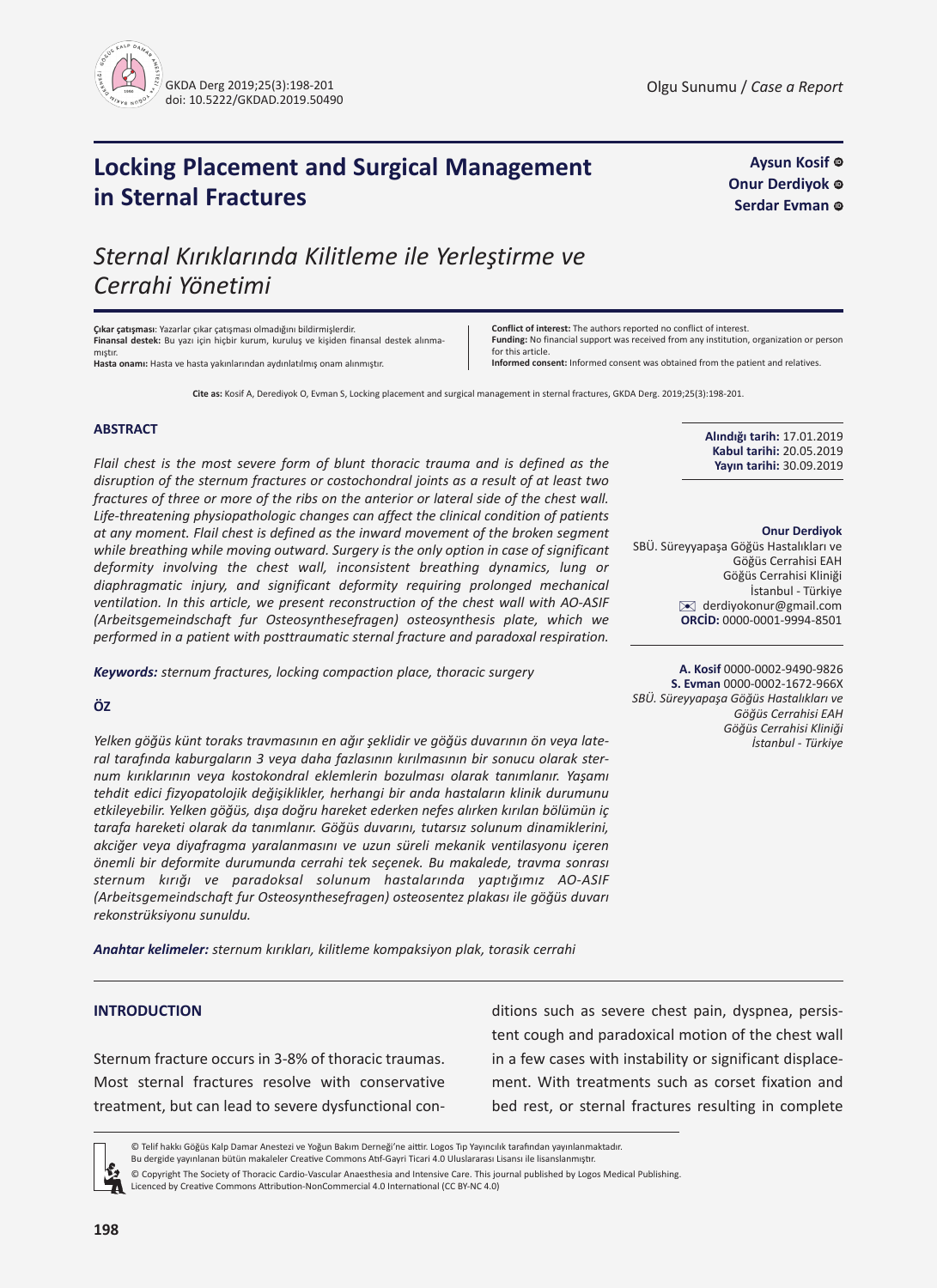

**Aysun Kosif Onur Derdiyok Serdar Evman** ©

# **Locking Placement and Surgical Management in Sternal Fractures**

*Sternal Kırıklarında Kilitleme ile Yerleştirme ve Cerrahi Yönetimi*

**Çıkar çatışması**: Yazarlar çıkar çatışması olmadığını bildirmişlerdir. **Finansal destek:** Bu yazı için hiçbir kurum, kuruluş ve kişiden finansal destek alınmamıştır. **Hasta onamı:** Hasta ve hasta yakınlarından aydınlatılmış onam alınmıştır.

**Conflict of interest:** The authors reported no conflict of interest. **Funding:** No financial support was received from any institution, organization or person for this article. **Informed consent:** Informed consent was obtained from the patient and relatives.

**Cite as:** Kosif A, Derediyok O, Evman S, Locking placement and surgical management in sternal fractures, GKDA Derg. 2019;25(3):198-201.

### **ABSTRACT**

*Flail chest is the most severe form of blunt thoracic trauma and is defined as the disruption of the sternum fractures or costochondral joints as a result of at least two fractures of three or more of the ribs on the anterior or lateral side of the chest wall. Life-threatening physiopathologic changes can affect the clinical condition of patients at any moment. Flail chest is defined as the inward movement of the broken segment while breathing while moving outward. Surgery is the only option in case of significant deformity involving the chest wall, inconsistent breathing dynamics, lung or diaphragmatic injury, and significant deformity requiring prolonged mechanical ventilation. In this article, we present reconstruction of the chest wall with AO-ASIF (Arbeitsgemeindschaft fur Osteosynthesefragen) osteosynthesis plate, which we performed in a patient with posttraumatic sternal fracture and paradoxal respiration.*

*Keywords: sternum fractures, locking compaction place, thoracic surgery*

## **ÖZ**

*Yelken göğüs künt toraks travmasının en ağır şeklidir ve göğüs duvarının ön veya lateral tarafında kaburgaların 3 veya daha fazlasının kırılmasının bir sonucu olarak sternum kırıklarının veya kostokondral eklemlerin bozulması olarak tanımlanır. Yaşamı tehdit edici fizyopatolojik değişiklikler, herhangi bir anda hastaların klinik durumunu etkileyebilir. Yelken göğüs, dışa doğru hareket ederken nefes alırken kırılan bölümün iç tarafa hareketi olarak da tanımlanır. Göğüs duvarını, tutarsız solunum dinamiklerini, akciğer veya diyafragma yaralanmasını ve uzun süreli mekanik ventilasyonu içeren önemli bir deformite durumunda cerrahi tek seçenek. Bu makalede, travma sonrası sternum kırığı ve paradoksal solunum hastalarında yaptığımız AO-ASIF (Arbeitsgemeindschaft fur Osteosynthesefragen) osteosentez plakası ile göğüs duvarı rekonstrüksiyonu sunuldu.*

*Anahtar kelimeler: sternum kırıkları, kilitleme kompaksiyon plak, torasik cerrahi*

# **INTRODUCTION**

Sternum fracture occurs in 3-8% of thoracic traumas. Most sternal fractures resolve with conservative treatment, but can lead to severe dysfunctional conditions such as severe chest pain, dyspnea, persistent cough and paradoxical motion of the chest wall in a few cases with instability or significant displacement. With treatments such as corset fixation and bed rest, or sternal fractures resulting in complete

© Telif hakkı Göğüs Kalp Damar Anestezi ve Yoğun Bakım Derneği'ne aittir. Logos Tıp Yayıncılık tarafından yayınlanmaktadır. Bu dergide yayınlanan bütün makaleler Creative Commons Atıf-Gayri Ticari 4.0 Uluslararası Lisansı ile lisanslanmıştır.

© Copyright The Society of Thoracic Cardio-Vascular Anaesthesia and Intensive Care. This journal published by Logos Medical Publishing. Licenced by Creative Commons Attribution-NonCommercial 4.0 International (CC BY-NC 4.0)

**Alındığı tarih:** 17.01.2019 **Kabul tarihi:** 20.05.2019 **Yayın tarihi:** 30.09.2019

#### **Onur Derdiyok**

SBÜ. Süreyyapaşa Göğüs Hastalıkları ve Göğüs Cerrahisi EAH Göğüs Cerrahisi Kliniği İstanbul - Türkiye ✉ [derdiyokonur@gmail.co](mailto:derdiyokonur@gmail.com)<sup>m</sup> **ORCİD:** 0000-0001-9994-8501

**A. Kosif** 0000-0002-9490-9826 **S. Evman** 0000-0002-1672-966X *SBÜ. Süreyyapaşa Göğüs Hastalıkları ve Göğüs Cerrahisi EAH Göğüs Cerrahisi Kliniği İstanbul - Türkiye*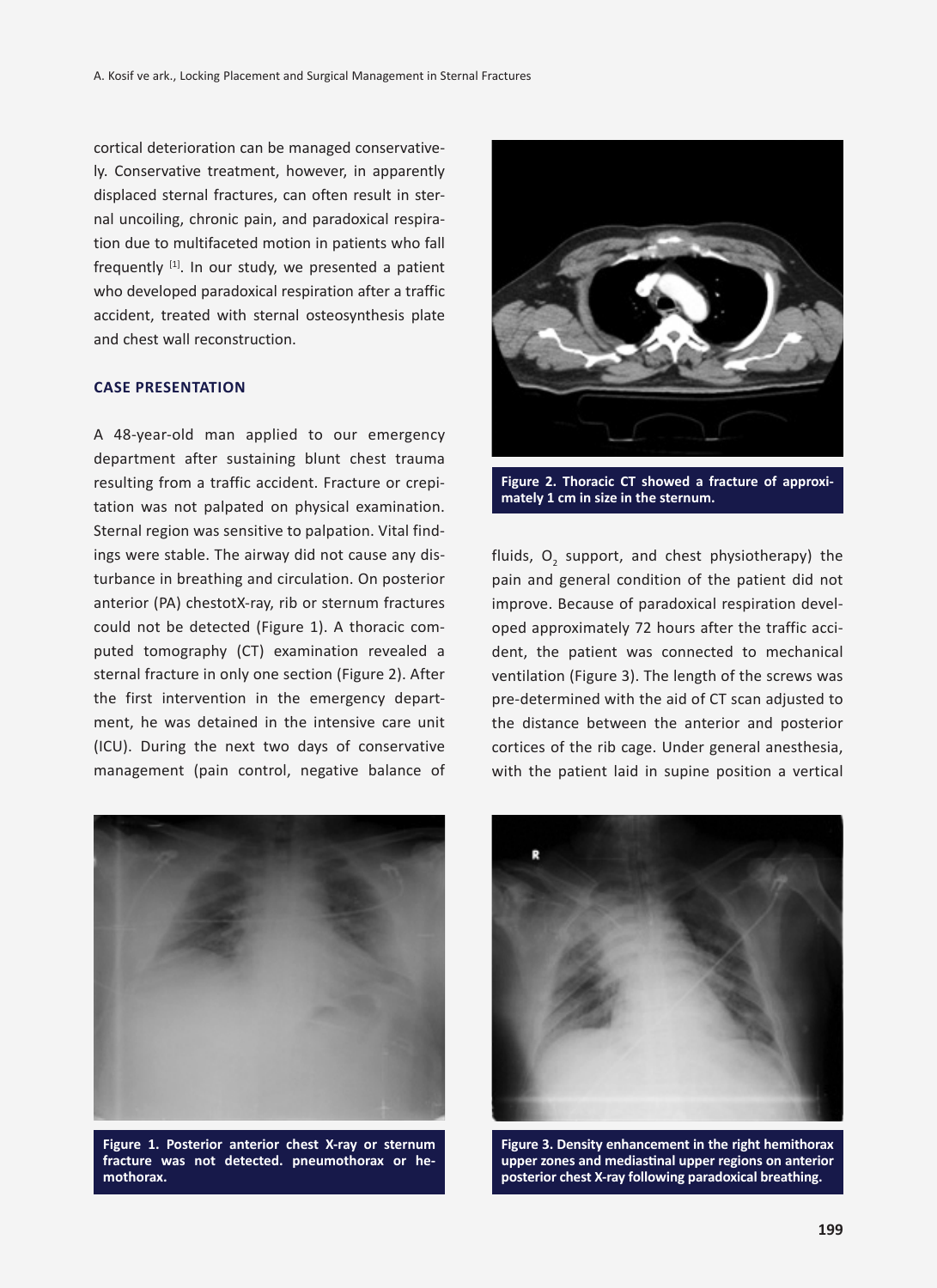cortical deterioration can be managed conservatively. Conservative treatment, however, in apparently displaced sternal fractures, can often result in sternal uncoiling, chronic pain, and paradoxical respiration due to multifaceted motion in patients who fall frequently  $[1]$ . In our study, we presented a patient who developed paradoxical respiration after a traffic accident, treated with sternal osteosynthesis plate and chest wall reconstruction.

# **Case presentation**

A 48-year-old man applied to our emergency department after sustaining blunt chest trauma resulting from a traffic accident. Fracture or crepitation was not palpated on physical examination. Sternal region was sensitive to palpation. Vital findings were stable. The airway did not cause any disturbance in breathing and circulation. On posterior anterior (PA) chestotX-ray, rib or sternum fractures could not be detected (Figure 1). A thoracic computed tomography (CT) examination revealed a sternal fracture in only one section (Figure 2). After the first intervention in the emergency department, he was detained in the intensive care unit (ICU). During the next two days of conservative management (pain control, negative balance of



**Figure 1. Posterior anterior chest X-ray or sternum fracture was not detected. pneumothorax or hemothorax.**



**Figure 2. Thoracic CT showed a fracture of approximately 1 cm in size in the sternum.**

fluids,  $O_2$  support, and chest physiotherapy) the pain and general condition of the patient did not improve. Because of paradoxical respiration developed approximately 72 hours after the traffic accident, the patient was connected to mechanical ventilation (Figure 3). The length of the screws was pre-determined with the aid of CT scan adjusted to the distance between the anterior and posterior cortices of the rib cage. Under general anesthesia, with the patient laid in supine position a vertical



**Figure 3. Density enhancement in the right hemithorax upper zones and mediastinal upper regions on anterior posterior chest X-ray following paradoxical breathing.**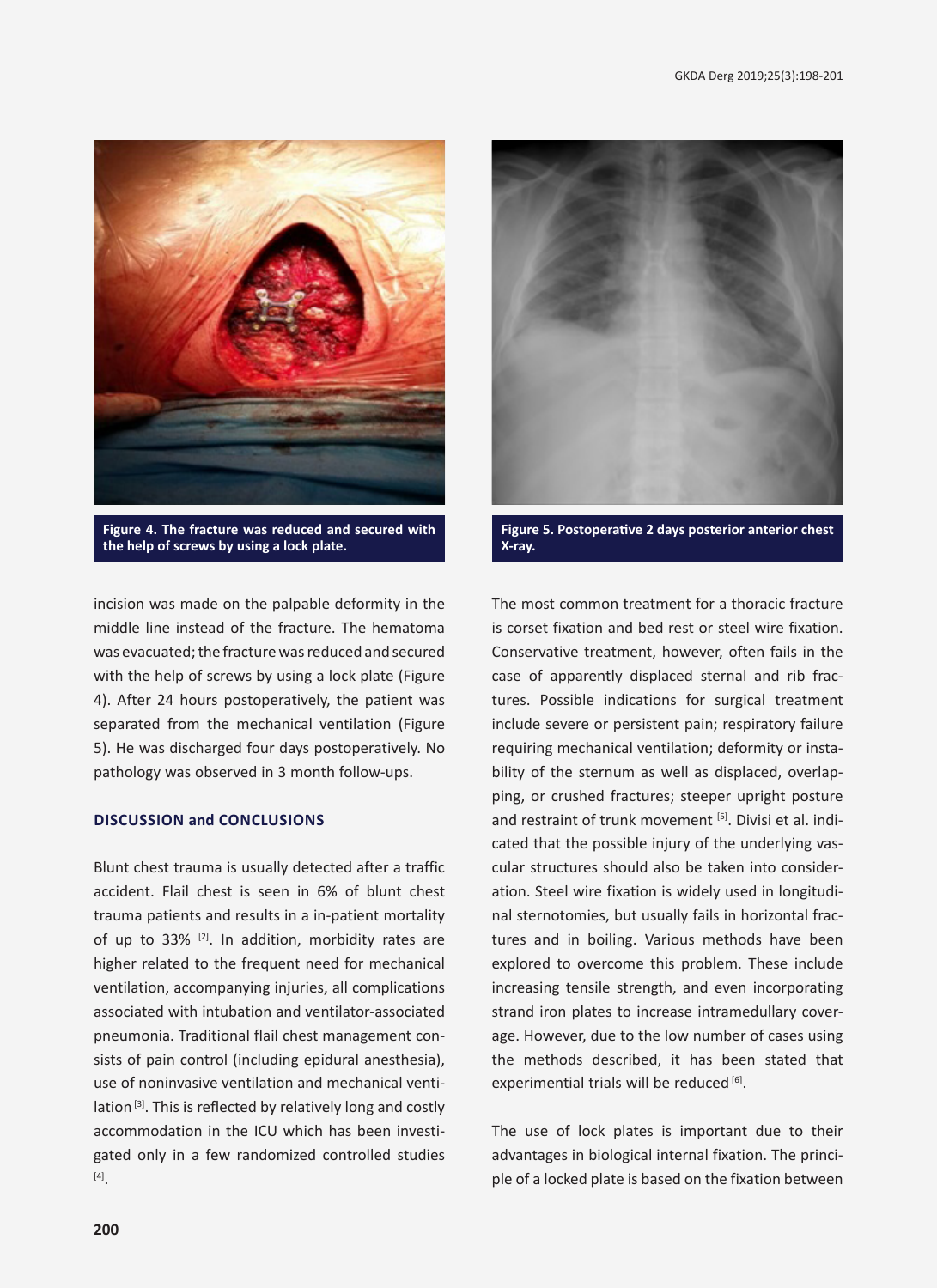

**Figure 4. The fracture was reduced and secured with the help of screws by using a lock plate.**

incision was made on the palpable deformity in the middle line instead of the fracture. The hematoma was evacuated; the fracture was reduced and secured with the help of screws by using a lock plate (Figure 4). After 24 hours postoperatively, the patient was separated from the mechanical ventilation (Figure 5). He was discharged four days postoperatively. No pathology was observed in 3 month follow-ups.

# **Discussion and Conclusions**

Blunt chest trauma is usually detected after a traffic accident. Flail chest is seen in 6% of blunt chest trauma patients and results in a in-patient mortality of up to  $33\%$  <sup>[2]</sup>. In addition, morbidity rates are higher related to the frequent need for mechanical ventilation, accompanying injuries, all complications associated with intubation and ventilator-associated pneumonia. Traditional flail chest management consists of pain control (including epidural anesthesia), use of noninvasive ventilation and mechanical ventilation<sup>[3]</sup>. This is reflected by relatively long and costly accommodation in the ICU which has been investigated only in a few randomized controlled studies [4].



**Figure 5. Postoperative 2 days posterior anterior chest X-ray.**

The most common treatment for a thoracic fracture is corset fixation and bed rest or steel wire fixation. Conservative treatment, however, often fails in the case of apparently displaced sternal and rib fractures. Possible indications for surgical treatment include severe or persistent pain; respiratory failure requiring mechanical ventilation; deformity or instability of the sternum as well as displaced, overlapping, or crushed fractures; steeper upright posture and restraint of trunk movement [5]. Divisi et al. indicated that the possible injury of the underlying vascular structures should also be taken into consideration. Steel wire fixation is widely used in longitudinal sternotomies, but usually fails in horizontal fractures and in boiling. Various methods have been explored to overcome this problem. These include increasing tensile strength, and even incorporating strand iron plates to increase intramedullary coverage. However, due to the low number of cases using the methods described, it has been stated that experimential trials will be reduced [6].

The use of lock plates is important due to their advantages in biological internal fixation. The principle of a locked plate is based on the fixation between